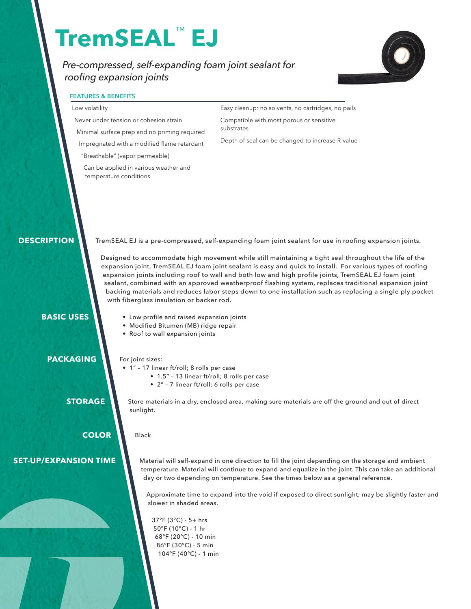# **TremSEAL**™  **EJ**

*Pre-compressed, self-expanding foam joint sealant for roofing expansion joints*



# **FEATURES & BENEFITS**

#### Low volatility

Never under tension or cohesion strain

Minimal surface prep and no priming required Impregnated with a modified flame retardant

"Breathable" (vapor permeable)

Can be applied in various weather and temperature conditions

Easy cleanup: no solvents, no cartridges, no pails Compatible with most porous or sensitive substrates

Depth of seal can be changed to increase R-value

 **DESCRIPTION**

TremSEAL EJ is a pre-compressed, self-expanding foam joint sealant for use in roofing expansion joints.

 Designed to accommodate high movement while still maintaining a tight seal throughout the life of the expansion joint, TremSEAL EJ foam joint sealant is easy and quick to install. For various types of roofing expansion joints including roof to wall and both low and high profile joints, TremSEAL EJ foam joint sealant, combined with an approved weatherproof flashing system, replaces traditional expansion joint backing materials and reduces labor steps down to one installation such as replacing a single ply pocket with fiberglass insulation or backer rod.

# **BASIC USES**

- Low profile and raised expansion joints
- Modified Bitumen (MB) ridge repair
- Roof to wall expansion joints

 **PACKAGING**

- For joint sizes:
- 1" 17 linear ft/roll; 8 rolls per case
	- 1.5" 13 linear ft/roll; 8 rolls per case
	- 2" 7 linear ft/roll; 6 rolls per case

**STORAGE**

Store materials in a dry, enclosed area, making sure materials are off the ground and out of direct sunlight.

 **COLOR**

Black

**SET-UP/EXPANSION TIME**

Material will self-expand in one direction to fill the joint depending on the storage and ambient temperature. Material will continue to expand and equalize in the joint. This can take an additional day or two depending on temperature. See the times below as a general reference.

Approximate time to expand into the void if exposed to direct sunlight; may be slightly faster and slower in shaded areas.

37°F (3°C) - 5+ hrs 50°F (10°C) - 1 hr 68°F (20°C) - 10 min 86°F (30°C) - 5 min 104°F (40°C) - 1 min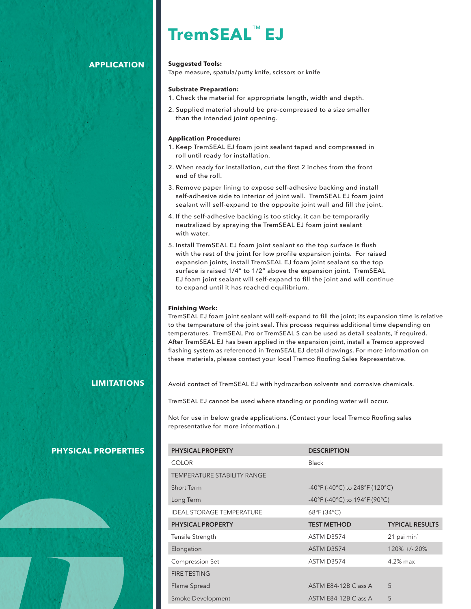# **TremSEAL**™ **EJ**

# **APPLICATION**

#### **Suggested Tools:**

Tape measure, spatula/putty knife, scissors or knife

#### **Substrate Preparation:**

- 1. Check the material for appropriate length, width and depth.
- 2. Supplied material should be pre-compressed to a size smaller than the intended joint opening.

#### **Application Procedure:**

- 1. Keep TremSEAL EJ foam joint sealant taped and compressed in roll until ready for installation.
- 2. When ready for installation, cut the first 2 inches from the front end of the roll.
- 3. Remove paper lining to expose self-adhesive backing and install self-adhesive side to interior of joint wall. TremSEAL EJ foam joint sealant will self-expand to the opposite joint wall and fill the joint.
- 4. If the self-adhesive backing is too sticky, it can be temporarily neutralized by spraying the TremSEAL EJ foam joint sealant with water.
- 5. Install TremSEAL EJ foam joint sealant so the top surface is flush with the rest of the joint for low profile expansion joints. For raised expansion joints, install TremSEAL EJ foam joint sealant so the top surface is raised 1/4" to 1/2" above the expansion joint. TremSEAL EJ foam joint sealant will self-expand to fill the joint and will continue to expand until it has reached equilibrium.

#### **Finishing Work:**

TremSEAL EJ foam joint sealant will self-expand to fill the joint; its expansion time is relative to the temperature of the joint seal. This process requires additional time depending on temperatures. TremSEAL Pro or TremSEAL S can be used as detail sealants, if required. After TremSEAL EJ has been applied in the expansion joint, install a Tremco approved flashing system as referenced in TremSEAL EJ detail drawings. For more information on these materials, please contact your local Tremco Roofing Sales Representative.

## **LIMITATIONS**

Avoid contact of TremSEAL EJ with hydrocarbon solvents and corrosive chemicals.

TremSEAL EJ cannot be used where standing or ponding water will occur.

Not for use in below grade applications. (Contact your local Tremco Roofing sales representative for more information.)

| <b>PHYSICAL PROPERTY</b>         | <b>DESCRIPTION</b>                                                        |                           |
|----------------------------------|---------------------------------------------------------------------------|---------------------------|
| <b>COLOR</b>                     | <b>Black</b>                                                              |                           |
| TEMPERATURE STABILITY RANGE      |                                                                           |                           |
| Short Term                       | $-40^{\circ}$ F (-40 $^{\circ}$ C) to 248 $^{\circ}$ F (120 $^{\circ}$ C) |                           |
| Long Term                        | $-40^{\circ}$ F (-40 $^{\circ}$ C) to 194 $^{\circ}$ F (90 $^{\circ}$ C)  |                           |
| <b>IDEAL STORAGE TEMPERATURE</b> | $68^{\circ}$ F (34 $^{\circ}$ C)                                          |                           |
| <b>PHYSICAL PROPERTY</b>         | <b>TEST METHOD</b>                                                        | <b>TYPICAL RESULTS</b>    |
| Tensile Strength                 | ASTM D3574                                                                | $21$ psi min <sup>1</sup> |
| Elongation                       | ASTM D3574                                                                | $120\% + (-20\%)$         |
| Compression Set                  | ASTM D3574                                                                | $4.2\%$ max               |
| <b>FIRE TESTING</b>              |                                                                           |                           |
| Flame Spread                     | ASTM E84-12B Class A                                                      | 5                         |
| Smoke Development                | ASTM E84-12B Class A                                                      | 5                         |

### **PHYSICAL PROPERTIES**